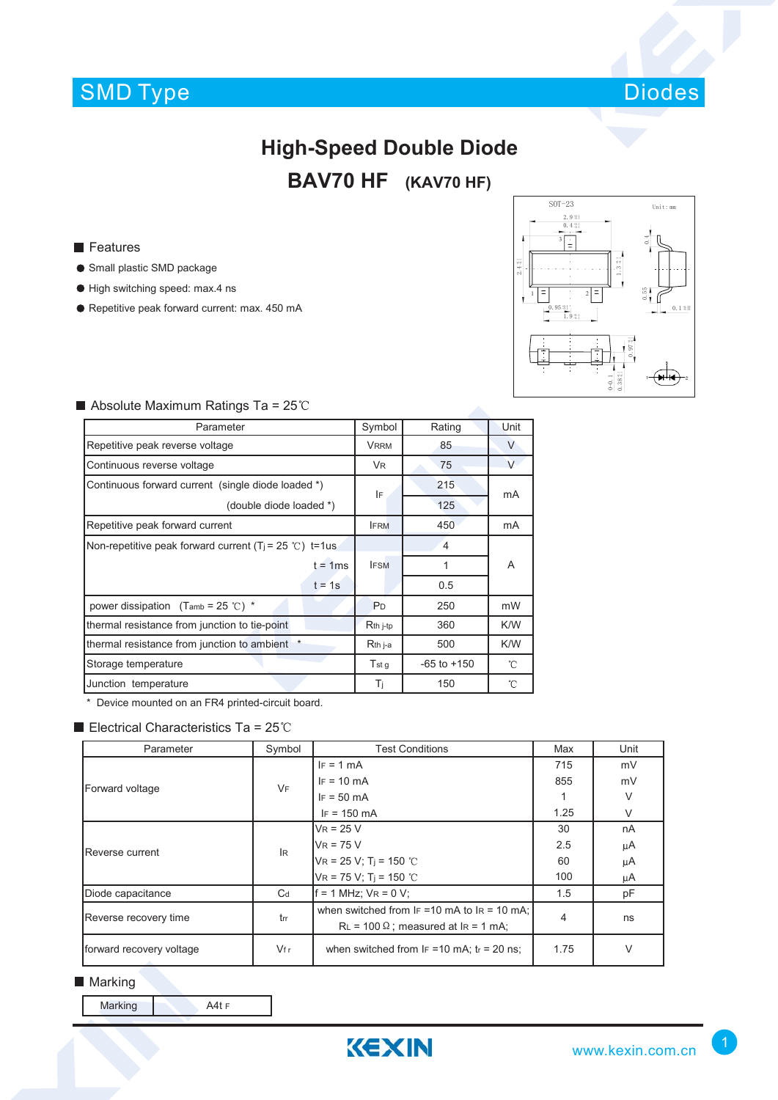## SMD Type Diodes



# **High-Speed Double Diode**

### **BAV70 HF (KAV70 HF)**

**Features** 

- **Small plastic SMD package**
- $\bullet$  High switching speed: max.4 ns
- Repetitive peak forward current: max. 450 mA



| Absolute Maximum Ratings Ta = $25^{\circ}$ C |  |  |  |
|----------------------------------------------|--|--|--|
|----------------------------------------------|--|--|--|

| Parameter                                                           |                 | Rating          | Unit   |
|---------------------------------------------------------------------|-----------------|-----------------|--------|
| Repetitive peak reverse voltage                                     | <b>VRRM</b>     | 85              | $\vee$ |
| Continuous reverse voltage                                          | <b>VR</b>       | 75              | V      |
| Continuous forward current (single diode loaded *)                  | IF              | 215             | mA     |
| (double diode loaded *)                                             |                 | 125             |        |
| Repetitive peak forward current                                     | <b>IFRM</b>     | 450             | mA     |
| Non-repetitive peak forward current (T <sub>i</sub> = 25 °C) t=1 us |                 | 4               |        |
| $t = 1$ ms                                                          | <b>IFSM</b>     | 1               | A      |
| $t = 1s$                                                            |                 | 0.5             |        |
| power dissipation (Tamb = 25 °C) $*$                                | P <sub>D</sub>  | 250             | mW     |
| thermal resistance from junction to tie-point                       | $Rth$ j-tp      | 360             | K/W    |
| thermal resistance from junction to ambient *                       | Rth j-a         | 500             | K/W    |
| Storage temperature                                                 | T <sub>st</sub> | $-65$ to $+150$ | °C     |
| Junction temperature                                                | Τi              | 150             | °C     |

\* Device mounted on an FR4 printed-circuit board.

#### Electrical Characteristics Ta =  $25^{\circ}$ C

| Parameter                | Symbol    | <b>Test Conditions</b>                                                                          | Max  | Unit   |
|--------------------------|-----------|-------------------------------------------------------------------------------------------------|------|--------|
| Forward voltage          | <b>VF</b> | $IF = 1 mA$                                                                                     | 715  | mV     |
|                          |           | $IF = 10 mA$                                                                                    | 855  | mV     |
|                          |           | $IF = 50 mA$                                                                                    |      | V      |
|                          |           | $IF = 150 mA$                                                                                   | 1.25 | $\vee$ |
| Reverse current          | IR.       | $V_R$ = 25 V                                                                                    | 30   | nA     |
|                          |           | $V_R$ = 75 V                                                                                    | 2.5  | μA     |
|                          |           | $VR = 25 V$ ; T <sub>i</sub> = 150 °C                                                           | 60   | μA     |
|                          |           | $VR = 75 V$ ; T <sub>i</sub> = 150 °C                                                           | 100  | μA     |
| Diode capacitance        | $C_d$     | $f = 1$ MHz; $V_R = 0$ V;                                                                       | 1.5  | pF     |
| Reverse recovery time    | trr       | when switched from $F = 10$ mA to $F = 10$ mA:<br>$RL = 100 \Omega$ ; measured at $IR = 1 mA$ ; | 4    | ns     |
| forward recovery voltage | Vf r      | when switched from $IF = 10$ mA; $tr = 20$ ns;                                                  | 1.75 | $\vee$ |

**Marking** 

Marking **A4t F** 

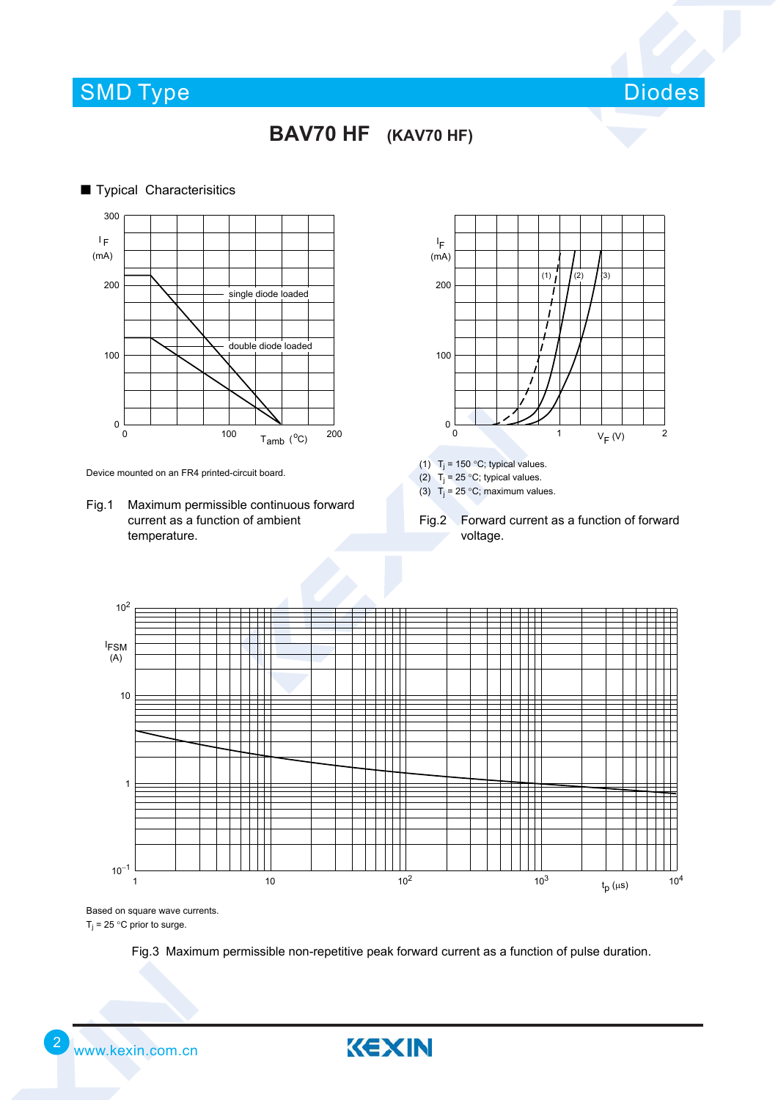### SMD Type Diodes and Diodes Diodes Diodes and Diodes Diodes and Diodes and Diodes and Diodes Diodes and Diodes





Device mounted on an FR4 printed-circuit board.

Fig.1 Maximum permissible continuous forward current as a function of ambient temperature.



(1)  $T_j = 150 °C$ ; typical values.

(2)  $T_j = 25 °C$ ; typical values.

(3)  $T_1 = 25 \degree C$ ; maximum values.

Fig.2 Forward current as a function of forward voltage.



Based on square wave currents.  $T_i = 25$  °C prior to surge.

Fig.3 Maximum permissible non-repetitive peak forward current as a function of pulse duration.

KEXIN